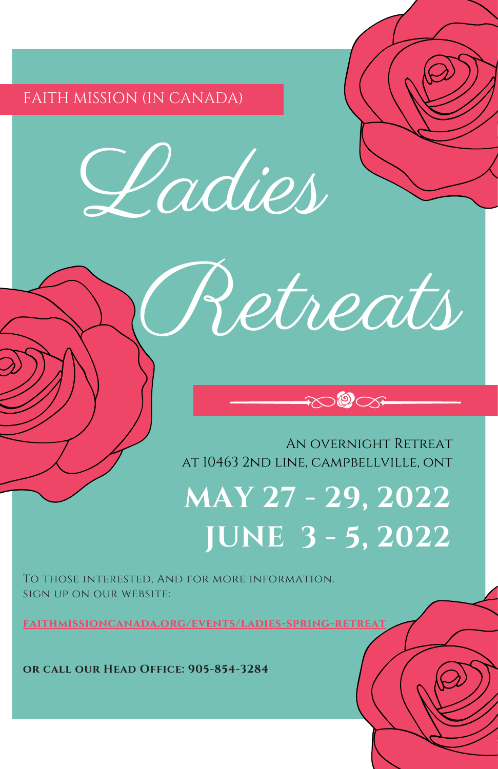#### FAITH MISSION (IN CANADA)

Ladies



An overnight Retreat at 10463 2nd line, campbellville, ont

 $R$ 

## **MAY 27 - 29, 2022 JUNE 3 - 5, 2022**

To those interested, And for more information. sign up on our website:

**[faithmissioncanada.org/events/ladies-spring-retreat](https://faithmissioncanada.org/events/ladies-spring-retreat/)**

**or call our Head Office: 905-854-3284**